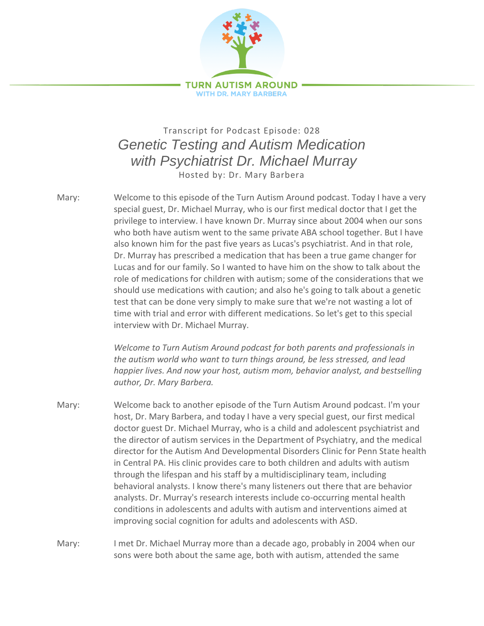

## Transcript for Podcast Episode: 028 *Genetic Testing and Autism Medication with Psychiatrist Dr. Michael Murray* Hosted by: Dr. Mary Barbera

Mary: Welcome to this episode of the Turn Autism Around podcast. Today I have a very special guest, Dr. Michael Murray, who is our first medical doctor that I get the privilege to interview. I have known Dr. Murray since about 2004 when our sons who both have autism went to the same private ABA school together. But I have also known him for the past five years as Lucas's psychiatrist. And in that role, Dr. Murray has prescribed a medication that has been a true game changer for Lucas and for our family. So I wanted to have him on the show to talk about the role of medications for children with autism; some of the considerations that we should use medications with caution; and also he's going to talk about a genetic test that can be done very simply to make sure that we're not wasting a lot of time with trial and error with different medications. So let's get to this special interview with Dr. Michael Murray.

*Welcome to Turn Autism Around podcast for both parents and professionals in the autism world who want to turn things around, be less stressed, and lead happier lives. And now your host, autism mom, behavior analyst, and bestselling author, Dr. Mary Barbera.*

- Mary: Welcome back to another episode of the Turn Autism Around podcast. I'm your host, Dr. Mary Barbera, and today I have a very special guest, our first medical doctor guest Dr. Michael Murray, who is a child and adolescent psychiatrist and the director of autism services in the Department of Psychiatry, and the medical director for the Autism And Developmental Disorders Clinic for Penn State health in Central PA. His clinic provides care to both children and adults with autism through the lifespan and his staff by a multidisciplinary team, including behavioral analysts. I know there's many listeners out there that are behavior analysts. Dr. Murray's research interests include co-occurring mental health conditions in adolescents and adults with autism and interventions aimed at improving social cognition for adults and adolescents with ASD.
- Mary: I met Dr. Michael Murray more than a decade ago, probably in 2004 when our sons were both about the same age, both with autism, attended the same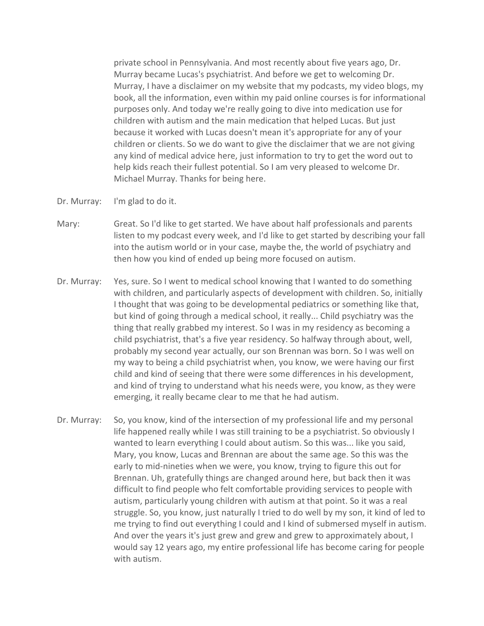private school in Pennsylvania. And most recently about five years ago, Dr. Murray became Lucas's psychiatrist. And before we get to welcoming Dr. Murray, I have a disclaimer on my website that my podcasts, my video blogs, my book, all the information, even within my paid online courses is for informational purposes only. And today we're really going to dive into medication use for children with autism and the main medication that helped Lucas. But just because it worked with Lucas doesn't mean it's appropriate for any of your children or clients. So we do want to give the disclaimer that we are not giving any kind of medical advice here, just information to try to get the word out to help kids reach their fullest potential. So I am very pleased to welcome Dr. Michael Murray. Thanks for being here.

- Dr. Murray: I'm glad to do it.
- Mary: Great. So I'd like to get started. We have about half professionals and parents listen to my podcast every week, and I'd like to get started by describing your fall into the autism world or in your case, maybe the, the world of psychiatry and then how you kind of ended up being more focused on autism.
- Dr. Murray: Yes, sure. So I went to medical school knowing that I wanted to do something with children, and particularly aspects of development with children. So, initially I thought that was going to be developmental pediatrics or something like that, but kind of going through a medical school, it really... Child psychiatry was the thing that really grabbed my interest. So I was in my residency as becoming a child psychiatrist, that's a five year residency. So halfway through about, well, probably my second year actually, our son Brennan was born. So I was well on my way to being a child psychiatrist when, you know, we were having our first child and kind of seeing that there were some differences in his development, and kind of trying to understand what his needs were, you know, as they were emerging, it really became clear to me that he had autism.
- Dr. Murray: So, you know, kind of the intersection of my professional life and my personal life happened really while I was still training to be a psychiatrist. So obviously I wanted to learn everything I could about autism. So this was... like you said, Mary, you know, Lucas and Brennan are about the same age. So this was the early to mid-nineties when we were, you know, trying to figure this out for Brennan. Uh, gratefully things are changed around here, but back then it was difficult to find people who felt comfortable providing services to people with autism, particularly young children with autism at that point. So it was a real struggle. So, you know, just naturally I tried to do well by my son, it kind of led to me trying to find out everything I could and I kind of submersed myself in autism. And over the years it's just grew and grew and grew to approximately about, I would say 12 years ago, my entire professional life has become caring for people with autism.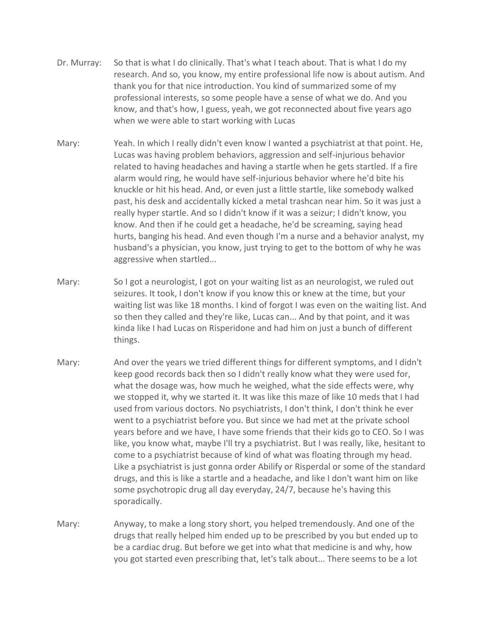- Dr. Murray: So that is what I do clinically. That's what I teach about. That is what I do my research. And so, you know, my entire professional life now is about autism. And thank you for that nice introduction. You kind of summarized some of my professional interests, so some people have a sense of what we do. And you know, and that's how, I guess, yeah, we got reconnected about five years ago when we were able to start working with Lucas
- Mary: Yeah. In which I really didn't even know I wanted a psychiatrist at that point. He, Lucas was having problem behaviors, aggression and self-injurious behavior related to having headaches and having a startle when he gets startled. If a fire alarm would ring, he would have self-injurious behavior where he'd bite his knuckle or hit his head. And, or even just a little startle, like somebody walked past, his desk and accidentally kicked a metal trashcan near him. So it was just a really hyper startle. And so I didn't know if it was a seizur; I didn't know, you know. And then if he could get a headache, he'd be screaming, saying head hurts, banging his head. And even though I'm a nurse and a behavior analyst, my husband's a physician, you know, just trying to get to the bottom of why he was aggressive when startled...
- Mary: So I got a neurologist, I got on your waiting list as an neurologist, we ruled out seizures. It took, I don't know if you know this or knew at the time, but your waiting list was like 18 months. I kind of forgot I was even on the waiting list. And so then they called and they're like, Lucas can... And by that point, and it was kinda like I had Lucas on Risperidone and had him on just a bunch of different things.
- Mary: And over the years we tried different things for different symptoms, and I didn't keep good records back then so I didn't really know what they were used for, what the dosage was, how much he weighed, what the side effects were, why we stopped it, why we started it. It was like this maze of like 10 meds that I had used from various doctors. No psychiatrists, I don't think, I don't think he ever went to a psychiatrist before you. But since we had met at the private school years before and we have, I have some friends that their kids go to CEO. So I was like, you know what, maybe I'll try a psychiatrist. But I was really, like, hesitant to come to a psychiatrist because of kind of what was floating through my head. Like a psychiatrist is just gonna order Abilify or Risperdal or some of the standard drugs, and this is like a startle and a headache, and like I don't want him on like some psychotropic drug all day everyday, 24/7, because he's having this sporadically.
- Mary: Anyway, to make a long story short, you helped tremendously. And one of the drugs that really helped him ended up to be prescribed by you but ended up to be a cardiac drug. But before we get into what that medicine is and why, how you got started even prescribing that, let's talk about... There seems to be a lot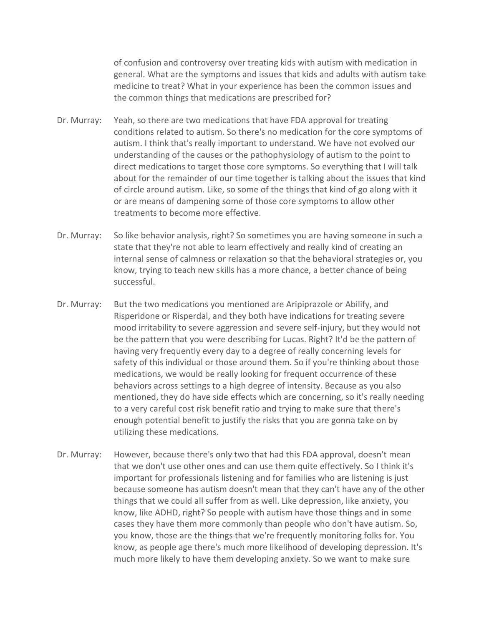of confusion and controversy over treating kids with autism with medication in general. What are the symptoms and issues that kids and adults with autism take medicine to treat? What in your experience has been the common issues and the common things that medications are prescribed for?

- Dr. Murray: Yeah, so there are two medications that have FDA approval for treating conditions related to autism. So there's no medication for the core symptoms of autism. I think that's really important to understand. We have not evolved our understanding of the causes or the pathophysiology of autism to the point to direct medications to target those core symptoms. So everything that I will talk about for the remainder of our time together is talking about the issues that kind of circle around autism. Like, so some of the things that kind of go along with it or are means of dampening some of those core symptoms to allow other treatments to become more effective.
- Dr. Murray: So like behavior analysis, right? So sometimes you are having someone in such a state that they're not able to learn effectively and really kind of creating an internal sense of calmness or relaxation so that the behavioral strategies or, you know, trying to teach new skills has a more chance, a better chance of being successful.
- Dr. Murray: But the two medications you mentioned are Aripiprazole or Abilify, and Risperidone or Risperdal, and they both have indications for treating severe mood irritability to severe aggression and severe self-injury, but they would not be the pattern that you were describing for Lucas. Right? It'd be the pattern of having very frequently every day to a degree of really concerning levels for safety of this individual or those around them. So if you're thinking about those medications, we would be really looking for frequent occurrence of these behaviors across settings to a high degree of intensity. Because as you also mentioned, they do have side effects which are concerning, so it's really needing to a very careful cost risk benefit ratio and trying to make sure that there's enough potential benefit to justify the risks that you are gonna take on by utilizing these medications.
- Dr. Murray: However, because there's only two that had this FDA approval, doesn't mean that we don't use other ones and can use them quite effectively. So I think it's important for professionals listening and for families who are listening is just because someone has autism doesn't mean that they can't have any of the other things that we could all suffer from as well. Like depression, like anxiety, you know, like ADHD, right? So people with autism have those things and in some cases they have them more commonly than people who don't have autism. So, you know, those are the things that we're frequently monitoring folks for. You know, as people age there's much more likelihood of developing depression. It's much more likely to have them developing anxiety. So we want to make sure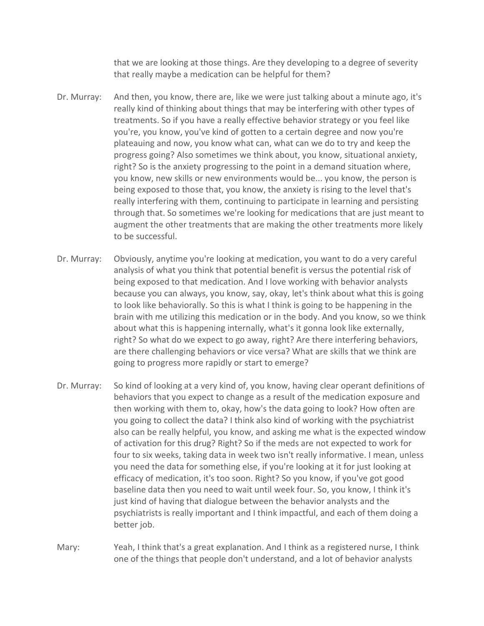that we are looking at those things. Are they developing to a degree of severity that really maybe a medication can be helpful for them?

- Dr. Murray: And then, you know, there are, like we were just talking about a minute ago, it's really kind of thinking about things that may be interfering with other types of treatments. So if you have a really effective behavior strategy or you feel like you're, you know, you've kind of gotten to a certain degree and now you're plateauing and now, you know what can, what can we do to try and keep the progress going? Also sometimes we think about, you know, situational anxiety, right? So is the anxiety progressing to the point in a demand situation where, you know, new skills or new environments would be... you know, the person is being exposed to those that, you know, the anxiety is rising to the level that's really interfering with them, continuing to participate in learning and persisting through that. So sometimes we're looking for medications that are just meant to augment the other treatments that are making the other treatments more likely to be successful.
- Dr. Murray: Obviously, anytime you're looking at medication, you want to do a very careful analysis of what you think that potential benefit is versus the potential risk of being exposed to that medication. And I love working with behavior analysts because you can always, you know, say, okay, let's think about what this is going to look like behaviorally. So this is what I think is going to be happening in the brain with me utilizing this medication or in the body. And you know, so we think about what this is happening internally, what's it gonna look like externally, right? So what do we expect to go away, right? Are there interfering behaviors, are there challenging behaviors or vice versa? What are skills that we think are going to progress more rapidly or start to emerge?
- Dr. Murray: So kind of looking at a very kind of, you know, having clear operant definitions of behaviors that you expect to change as a result of the medication exposure and then working with them to, okay, how's the data going to look? How often are you going to collect the data? I think also kind of working with the psychiatrist also can be really helpful, you know, and asking me what is the expected window of activation for this drug? Right? So if the meds are not expected to work for four to six weeks, taking data in week two isn't really informative. I mean, unless you need the data for something else, if you're looking at it for just looking at efficacy of medication, it's too soon. Right? So you know, if you've got good baseline data then you need to wait until week four. So, you know, I think it's just kind of having that dialogue between the behavior analysts and the psychiatrists is really important and I think impactful, and each of them doing a better job.
- Mary: Yeah, I think that's a great explanation. And I think as a registered nurse, I think one of the things that people don't understand, and a lot of behavior analysts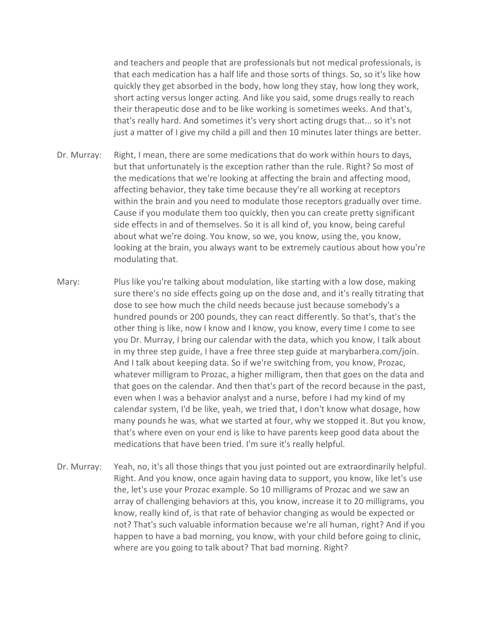and teachers and people that are professionals but not medical professionals, is that each medication has a half life and those sorts of things. So, so it's like how quickly they get absorbed in the body, how long they stay, how long they work, short acting versus longer acting. And like you said, some drugs really to reach their therapeutic dose and to be like working is sometimes weeks. And that's, that's really hard. And sometimes it's very short acting drugs that... so it's not just a matter of I give my child a pill and then 10 minutes later things are better.

- Dr. Murray: Right, I mean, there are some medications that do work within hours to days, but that unfortunately is the exception rather than the rule. Right? So most of the medications that we're looking at affecting the brain and affecting mood, affecting behavior, they take time because they're all working at receptors within the brain and you need to modulate those receptors gradually over time. Cause if you modulate them too quickly, then you can create pretty significant side effects in and of themselves. So it is all kind of, you know, being careful about what we're doing. You know, so we, you know, using the, you know, looking at the brain, you always want to be extremely cautious about how you're modulating that.
- Mary: Plus like you're talking about modulation, like starting with a low dose, making sure there's no side effects going up on the dose and, and it's really titrating that dose to see how much the child needs because just because somebody's a hundred pounds or 200 pounds, they can react differently. So that's, that's the other thing is like, now I know and I know, you know, every time I come to see you Dr. Murray, I bring our calendar with the data, which you know, I talk about in my three step guide, I have a free three step guide at marybarbera.com/join. And I talk about keeping data. So if we're switching from, you know, Prozac, whatever milligram to Prozac, a higher milligram, then that goes on the data and that goes on the calendar. And then that's part of the record because in the past, even when I was a behavior analyst and a nurse, before I had my kind of my calendar system, I'd be like, yeah, we tried that, I don't know what dosage, how many pounds he was, what we started at four, why we stopped it. But you know, that's where even on your end is like to have parents keep good data about the medications that have been tried. I'm sure it's really helpful.
- Dr. Murray: Yeah, no, it's all those things that you just pointed out are extraordinarily helpful. Right. And you know, once again having data to support, you know, like let's use the, let's use your Prozac example. So 10 milligrams of Prozac and we saw an array of challenging behaviors at this, you know, increase it to 20 milligrams, you know, really kind of, is that rate of behavior changing as would be expected or not? That's such valuable information because we're all human, right? And if you happen to have a bad morning, you know, with your child before going to clinic, where are you going to talk about? That bad morning. Right?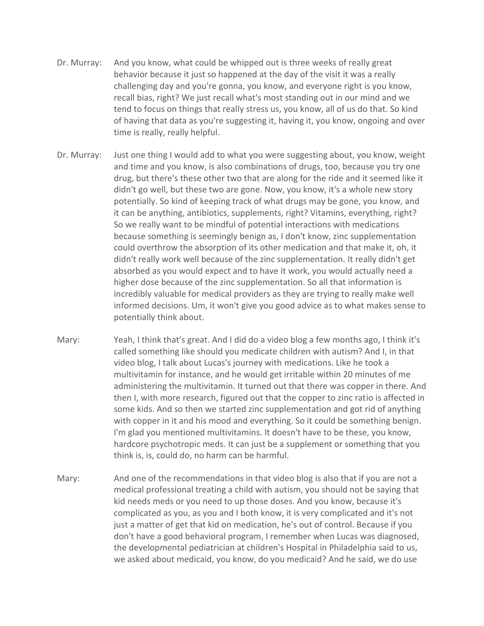- Dr. Murray: And you know, what could be whipped out is three weeks of really great behavior because it just so happened at the day of the visit it was a really challenging day and you're gonna, you know, and everyone right is you know, recall bias, right? We just recall what's most standing out in our mind and we tend to focus on things that really stress us, you know, all of us do that. So kind of having that data as you're suggesting it, having it, you know, ongoing and over time is really, really helpful.
- Dr. Murray: Just one thing I would add to what you were suggesting about, you know, weight and time and you know, is also combinations of drugs, too, because you try one drug, but there's these other two that are along for the ride and it seemed like it didn't go well, but these two are gone. Now, you know, it's a whole new story potentially. So kind of keeping track of what drugs may be gone, you know, and it can be anything, antibiotics, supplements, right? Vitamins, everything, right? So we really want to be mindful of potential interactions with medications because something is seemingly benign as, I don't know, zinc supplementation could overthrow the absorption of its other medication and that make it, oh, it didn't really work well because of the zinc supplementation. It really didn't get absorbed as you would expect and to have it work, you would actually need a higher dose because of the zinc supplementation. So all that information is incredibly valuable for medical providers as they are trying to really make well informed decisions. Um, it won't give you good advice as to what makes sense to potentially think about.
- Mary: Yeah, I think that's great. And I did do a video blog a few months ago, I think it's called something like should you medicate children with autism? And I, in that video blog, I talk about Lucas's journey with medications. Like he took a multivitamin for instance, and he would get irritable within 20 minutes of me administering the multivitamin. It turned out that there was copper in there. And then I, with more research, figured out that the copper to zinc ratio is affected in some kids. And so then we started zinc supplementation and got rid of anything with copper in it and his mood and everything. So it could be something benign. I'm glad you mentioned multivitamins. It doesn't have to be these, you know, hardcore psychotropic meds. It can just be a supplement or something that you think is, is, could do, no harm can be harmful.
- Mary: And one of the recommendations in that video blog is also that if you are not a medical professional treating a child with autism, you should not be saying that kid needs meds or you need to up those doses. And you know, because it's complicated as you, as you and I both know, it is very complicated and it's not just a matter of get that kid on medication, he's out of control. Because if you don't have a good behavioral program, I remember when Lucas was diagnosed, the developmental pediatrician at children's Hospital in Philadelphia said to us, we asked about medicaid, you know, do you medicaid? And he said, we do use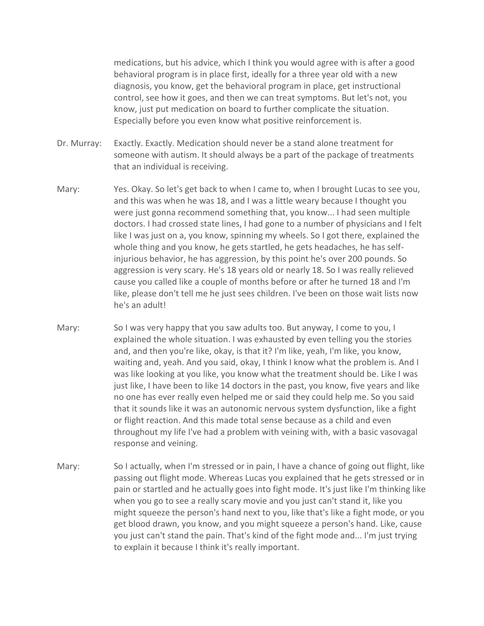medications, but his advice, which I think you would agree with is after a good behavioral program is in place first, ideally for a three year old with a new diagnosis, you know, get the behavioral program in place, get instructional control, see how it goes, and then we can treat symptoms. But let's not, you know, just put medication on board to further complicate the situation. Especially before you even know what positive reinforcement is.

- Dr. Murray: Exactly. Exactly. Medication should never be a stand alone treatment for someone with autism. It should always be a part of the package of treatments that an individual is receiving.
- Mary: Yes. Okay. So let's get back to when I came to, when I brought Lucas to see you, and this was when he was 18, and I was a little weary because I thought you were just gonna recommend something that, you know... I had seen multiple doctors. I had crossed state lines, I had gone to a number of physicians and I felt like I was just on a, you know, spinning my wheels. So I got there, explained the whole thing and you know, he gets startled, he gets headaches, he has selfinjurious behavior, he has aggression, by this point he's over 200 pounds. So aggression is very scary. He's 18 years old or nearly 18. So I was really relieved cause you called like a couple of months before or after he turned 18 and I'm like, please don't tell me he just sees children. I've been on those wait lists now he's an adult!
- Mary: So I was very happy that you saw adults too. But anyway, I come to you, I explained the whole situation. I was exhausted by even telling you the stories and, and then you're like, okay, is that it? I'm like, yeah, I'm like, you know, waiting and, yeah. And you said, okay, I think I know what the problem is. And I was like looking at you like, you know what the treatment should be. Like I was just like, I have been to like 14 doctors in the past, you know, five years and like no one has ever really even helped me or said they could help me. So you said that it sounds like it was an autonomic nervous system dysfunction, like a fight or flight reaction. And this made total sense because as a child and even throughout my life I've had a problem with veining with, with a basic vasovagal response and veining.
- Mary: So I actually, when I'm stressed or in pain, I have a chance of going out flight, like passing out flight mode. Whereas Lucas you explained that he gets stressed or in pain or startled and he actually goes into fight mode. It's just like I'm thinking like when you go to see a really scary movie and you just can't stand it, like you might squeeze the person's hand next to you, like that's like a fight mode, or you get blood drawn, you know, and you might squeeze a person's hand. Like, cause you just can't stand the pain. That's kind of the fight mode and... I'm just trying to explain it because I think it's really important.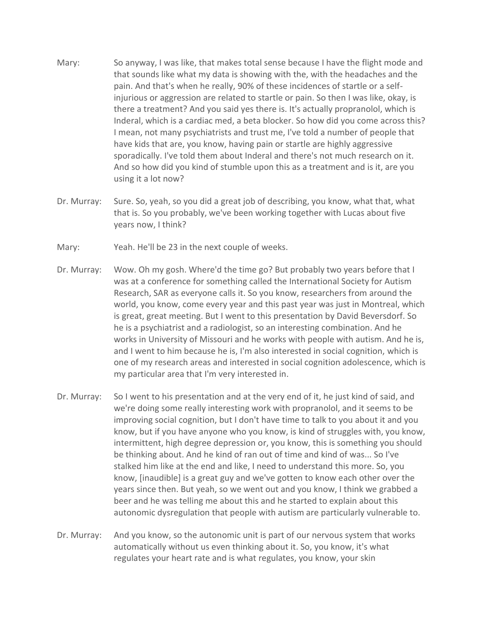- Mary: So anyway, I was like, that makes total sense because I have the flight mode and that sounds like what my data is showing with the, with the headaches and the pain. And that's when he really, 90% of these incidences of startle or a selfinjurious or aggression are related to startle or pain. So then I was like, okay, is there a treatment? And you said yes there is. It's actually propranolol, which is Inderal, which is a cardiac med, a beta blocker. So how did you come across this? I mean, not many psychiatrists and trust me, I've told a number of people that have kids that are, you know, having pain or startle are highly aggressive sporadically. I've told them about Inderal and there's not much research on it. And so how did you kind of stumble upon this as a treatment and is it, are you using it a lot now?
- Dr. Murray: Sure. So, yeah, so you did a great job of describing, you know, what that, what that is. So you probably, we've been working together with Lucas about five years now, I think?
- Mary: Yeah. He'll be 23 in the next couple of weeks.
- Dr. Murray: Wow. Oh my gosh. Where'd the time go? But probably two years before that I was at a conference for something called the International Society for Autism Research, SAR as everyone calls it. So you know, researchers from around the world, you know, come every year and this past year was just in Montreal, which is great, great meeting. But I went to this presentation by David Beversdorf. So he is a psychiatrist and a radiologist, so an interesting combination. And he works in University of Missouri and he works with people with autism. And he is, and I went to him because he is, I'm also interested in social cognition, which is one of my research areas and interested in social cognition adolescence, which is my particular area that I'm very interested in.
- Dr. Murray: So I went to his presentation and at the very end of it, he just kind of said, and we're doing some really interesting work with propranolol, and it seems to be improving social cognition, but I don't have time to talk to you about it and you know, but if you have anyone who you know, is kind of struggles with, you know, intermittent, high degree depression or, you know, this is something you should be thinking about. And he kind of ran out of time and kind of was... So I've stalked him like at the end and like, I need to understand this more. So, you know, [inaudible] is a great guy and we've gotten to know each other over the years since then. But yeah, so we went out and you know, I think we grabbed a beer and he was telling me about this and he started to explain about this autonomic dysregulation that people with autism are particularly vulnerable to.
- Dr. Murray: And you know, so the autonomic unit is part of our nervous system that works automatically without us even thinking about it. So, you know, it's what regulates your heart rate and is what regulates, you know, your skin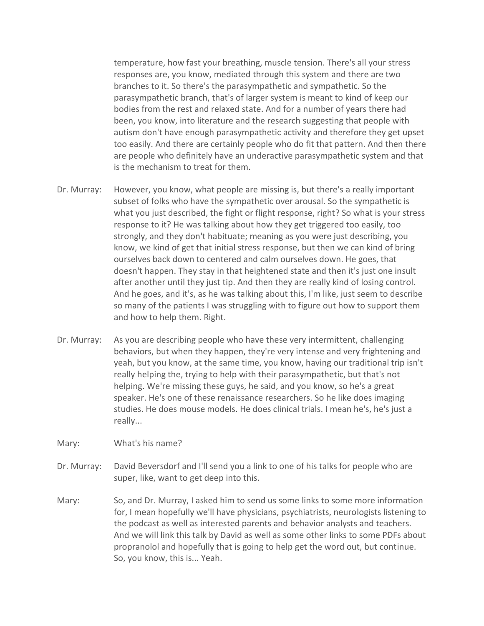temperature, how fast your breathing, muscle tension. There's all your stress responses are, you know, mediated through this system and there are two branches to it. So there's the parasympathetic and sympathetic. So the parasympathetic branch, that's of larger system is meant to kind of keep our bodies from the rest and relaxed state. And for a number of years there had been, you know, into literature and the research suggesting that people with autism don't have enough parasympathetic activity and therefore they get upset too easily. And there are certainly people who do fit that pattern. And then there are people who definitely have an underactive parasympathetic system and that is the mechanism to treat for them.

- Dr. Murray: However, you know, what people are missing is, but there's a really important subset of folks who have the sympathetic over arousal. So the sympathetic is what you just described, the fight or flight response, right? So what is your stress response to it? He was talking about how they get triggered too easily, too strongly, and they don't habituate; meaning as you were just describing, you know, we kind of get that initial stress response, but then we can kind of bring ourselves back down to centered and calm ourselves down. He goes, that doesn't happen. They stay in that heightened state and then it's just one insult after another until they just tip. And then they are really kind of losing control. And he goes, and it's, as he was talking about this, I'm like, just seem to describe so many of the patients I was struggling with to figure out how to support them and how to help them. Right.
- Dr. Murray: As you are describing people who have these very intermittent, challenging behaviors, but when they happen, they're very intense and very frightening and yeah, but you know, at the same time, you know, having our traditional trip isn't really helping the, trying to help with their parasympathetic, but that's not helping. We're missing these guys, he said, and you know, so he's a great speaker. He's one of these renaissance researchers. So he like does imaging studies. He does mouse models. He does clinical trials. I mean he's, he's just a really...
- Mary: What's his name?
- Dr. Murray: David Beversdorf and I'll send you a link to one of his talks for people who are super, like, want to get deep into this.
- Mary: So, and Dr. Murray, I asked him to send us some links to some more information for, I mean hopefully we'll have physicians, psychiatrists, neurologists listening to the podcast as well as interested parents and behavior analysts and teachers. And we will link this talk by David as well as some other links to some PDFs about propranolol and hopefully that is going to help get the word out, but continue. So, you know, this is... Yeah.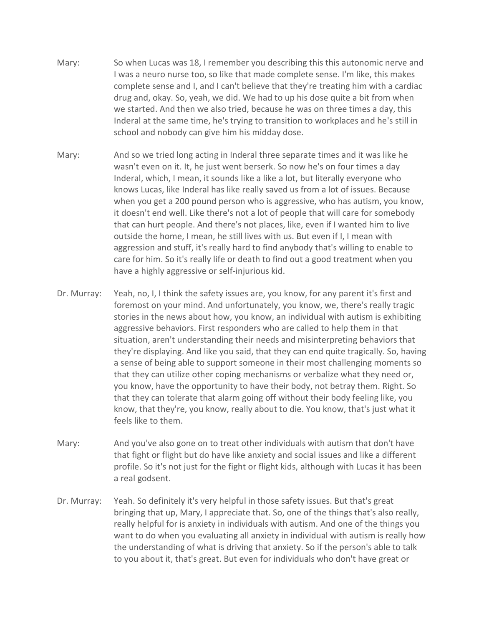- Mary: So when Lucas was 18, I remember you describing this this autonomic nerve and I was a neuro nurse too, so like that made complete sense. I'm like, this makes complete sense and I, and I can't believe that they're treating him with a cardiac drug and, okay. So, yeah, we did. We had to up his dose quite a bit from when we started. And then we also tried, because he was on three times a day, this Inderal at the same time, he's trying to transition to workplaces and he's still in school and nobody can give him his midday dose.
- Mary: And so we tried long acting in Inderal three separate times and it was like he wasn't even on it. It, he just went berserk. So now he's on four times a day Inderal, which, I mean, it sounds like a like a lot, but literally everyone who knows Lucas, like Inderal has like really saved us from a lot of issues. Because when you get a 200 pound person who is aggressive, who has autism, you know, it doesn't end well. Like there's not a lot of people that will care for somebody that can hurt people. And there's not places, like, even if I wanted him to live outside the home, I mean, he still lives with us. But even if I, I mean with aggression and stuff, it's really hard to find anybody that's willing to enable to care for him. So it's really life or death to find out a good treatment when you have a highly aggressive or self-injurious kid.
- Dr. Murray: Yeah, no, I, I think the safety issues are, you know, for any parent it's first and foremost on your mind. And unfortunately, you know, we, there's really tragic stories in the news about how, you know, an individual with autism is exhibiting aggressive behaviors. First responders who are called to help them in that situation, aren't understanding their needs and misinterpreting behaviors that they're displaying. And like you said, that they can end quite tragically. So, having a sense of being able to support someone in their most challenging moments so that they can utilize other coping mechanisms or verbalize what they need or, you know, have the opportunity to have their body, not betray them. Right. So that they can tolerate that alarm going off without their body feeling like, you know, that they're, you know, really about to die. You know, that's just what it feels like to them.
- Mary: And you've also gone on to treat other individuals with autism that don't have that fight or flight but do have like anxiety and social issues and like a different profile. So it's not just for the fight or flight kids, although with Lucas it has been a real godsent.
- Dr. Murray: Yeah. So definitely it's very helpful in those safety issues. But that's great bringing that up, Mary, I appreciate that. So, one of the things that's also really, really helpful for is anxiety in individuals with autism. And one of the things you want to do when you evaluating all anxiety in individual with autism is really how the understanding of what is driving that anxiety. So if the person's able to talk to you about it, that's great. But even for individuals who don't have great or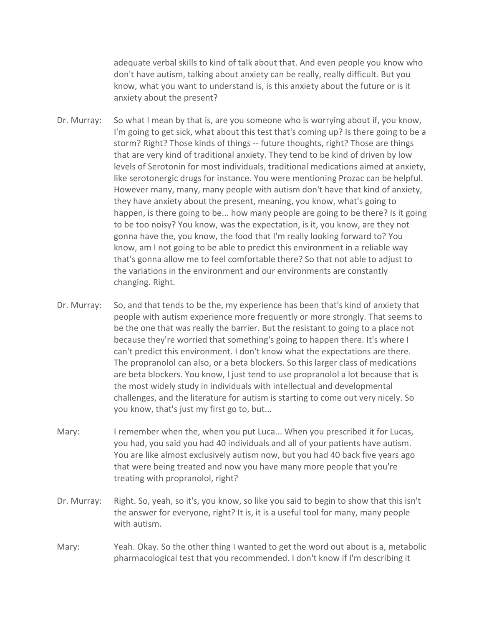adequate verbal skills to kind of talk about that. And even people you know who don't have autism, talking about anxiety can be really, really difficult. But you know, what you want to understand is, is this anxiety about the future or is it anxiety about the present?

- Dr. Murray: So what I mean by that is, are you someone who is worrying about if, you know, I'm going to get sick, what about this test that's coming up? Is there going to be a storm? Right? Those kinds of things -- future thoughts, right? Those are things that are very kind of traditional anxiety. They tend to be kind of driven by low levels of Serotonin for most individuals, traditional medications aimed at anxiety, like serotonergic drugs for instance. You were mentioning Prozac can be helpful. However many, many, many people with autism don't have that kind of anxiety, they have anxiety about the present, meaning, you know, what's going to happen, is there going to be... how many people are going to be there? Is it going to be too noisy? You know, was the expectation, is it, you know, are they not gonna have the, you know, the food that I'm really looking forward to? You know, am I not going to be able to predict this environment in a reliable way that's gonna allow me to feel comfortable there? So that not able to adjust to the variations in the environment and our environments are constantly changing. Right.
- Dr. Murray: So, and that tends to be the, my experience has been that's kind of anxiety that people with autism experience more frequently or more strongly. That seems to be the one that was really the barrier. But the resistant to going to a place not because they're worried that something's going to happen there. It's where I can't predict this environment. I don't know what the expectations are there. The propranolol can also, or a beta blockers. So this larger class of medications are beta blockers. You know, I just tend to use propranolol a lot because that is the most widely study in individuals with intellectual and developmental challenges, and the literature for autism is starting to come out very nicely. So you know, that's just my first go to, but...
- Mary: I remember when the, when you put Luca... When you prescribed it for Lucas, you had, you said you had 40 individuals and all of your patients have autism. You are like almost exclusively autism now, but you had 40 back five years ago that were being treated and now you have many more people that you're treating with propranolol, right?
- Dr. Murray: Right. So, yeah, so it's, you know, so like you said to begin to show that this isn't the answer for everyone, right? It is, it is a useful tool for many, many people with autism.
- Mary: Yeah. Okay. So the other thing I wanted to get the word out about is a, metabolic pharmacological test that you recommended. I don't know if I'm describing it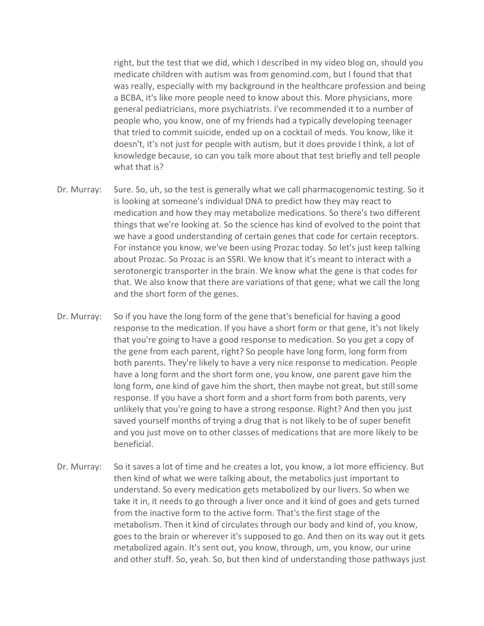right, but the test that we did, which I described in my video blog on, should you medicate children with autism was from genomind.com, but I found that that was really, especially with my background in the healthcare profession and being a BCBA, it's like more people need to know about this. More physicians, more general pediatricians, more psychiatrists. I've recommended it to a number of people who, you know, one of my friends had a typically developing teenager that tried to commit suicide, ended up on a cocktail of meds. You know, like it doesn't, it's not just for people with autism, but it does provide I think, a lot of knowledge because, so can you talk more about that test briefly and tell people what that is?

- Dr. Murray: Sure. So, uh, so the test is generally what we call pharmacogenomic testing. So it is looking at someone's individual DNA to predict how they may react to medication and how they may metabolize medications. So there's two different things that we're looking at. So the science has kind of evolved to the point that we have a good understanding of certain genes that code for certain receptors. For instance you know, we've been using Prozac today. So let's just keep talking about Prozac. So Prozac is an SSRI. We know that it's meant to interact with a serotonergic transporter in the brain. We know what the gene is that codes for that. We also know that there are variations of that gene; what we call the long and the short form of the genes.
- Dr. Murray: So if you have the long form of the gene that's beneficial for having a good response to the medication. If you have a short form or that gene, it's not likely that you're going to have a good response to medication. So you get a copy of the gene from each parent, right? So people have long form, long form from both parents. They're likely to have a very nice response to medication. People have a long form and the short form one, you know, one parent gave him the long form, one kind of gave him the short, then maybe not great, but still some response. If you have a short form and a short form from both parents, very unlikely that you're going to have a strong response. Right? And then you just saved yourself months of trying a drug that is not likely to be of super benefit and you just move on to other classes of medications that are more likely to be beneficial.
- Dr. Murray: So it saves a lot of time and he creates a lot, you know, a lot more efficiency. But then kind of what we were talking about, the metabolics just important to understand. So every medication gets metabolized by our livers. So when we take it in, it needs to go through a liver once and it kind of goes and gets turned from the inactive form to the active form. That's the first stage of the metabolism. Then it kind of circulates through our body and kind of, you know, goes to the brain or wherever it's supposed to go. And then on its way out it gets metabolized again. It's sent out, you know, through, um, you know, our urine and other stuff. So, yeah. So, but then kind of understanding those pathways just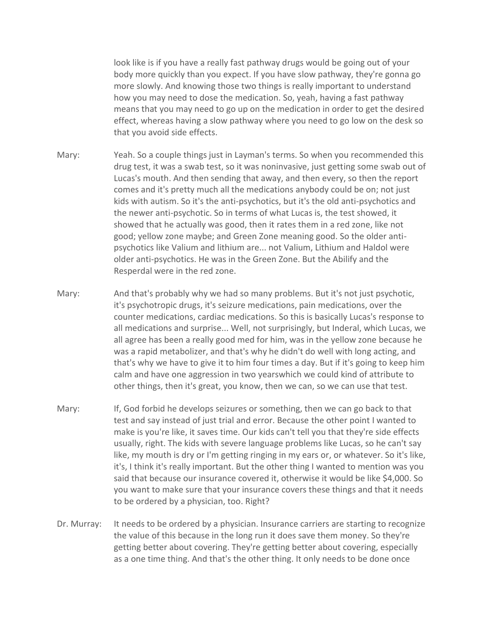look like is if you have a really fast pathway drugs would be going out of your body more quickly than you expect. If you have slow pathway, they're gonna go more slowly. And knowing those two things is really important to understand how you may need to dose the medication. So, yeah, having a fast pathway means that you may need to go up on the medication in order to get the desired effect, whereas having a slow pathway where you need to go low on the desk so that you avoid side effects.

- Mary: Yeah. So a couple things just in Layman's terms. So when you recommended this drug test, it was a swab test, so it was noninvasive, just getting some swab out of Lucas's mouth. And then sending that away, and then every, so then the report comes and it's pretty much all the medications anybody could be on; not just kids with autism. So it's the anti-psychotics, but it's the old anti-psychotics and the newer anti-psychotic. So in terms of what Lucas is, the test showed, it showed that he actually was good, then it rates them in a red zone, like not good; yellow zone maybe; and Green Zone meaning good. So the older antipsychotics like Valium and lithium are... not Valium, Lithium and Haldol were older anti-psychotics. He was in the Green Zone. But the Abilify and the Resperdal were in the red zone.
- Mary: And that's probably why we had so many problems. But it's not just psychotic, it's psychotropic drugs, it's seizure medications, pain medications, over the counter medications, cardiac medications. So this is basically Lucas's response to all medications and surprise... Well, not surprisingly, but Inderal, which Lucas, we all agree has been a really good med for him, was in the yellow zone because he was a rapid metabolizer, and that's why he didn't do well with long acting, and that's why we have to give it to him four times a day. But if it's going to keep him calm and have one aggression in two yearswhich we could kind of attribute to other things, then it's great, you know, then we can, so we can use that test.
- Mary: If, God forbid he develops seizures or something, then we can go back to that test and say instead of just trial and error. Because the other point I wanted to make is you're like, it saves time. Our kids can't tell you that they're side effects usually, right. The kids with severe language problems like Lucas, so he can't say like, my mouth is dry or I'm getting ringing in my ears or, or whatever. So it's like, it's, I think it's really important. But the other thing I wanted to mention was you said that because our insurance covered it, otherwise it would be like \$4,000. So you want to make sure that your insurance covers these things and that it needs to be ordered by a physician, too. Right?
- Dr. Murray: It needs to be ordered by a physician. Insurance carriers are starting to recognize the value of this because in the long run it does save them money. So they're getting better about covering. They're getting better about covering, especially as a one time thing. And that's the other thing. It only needs to be done once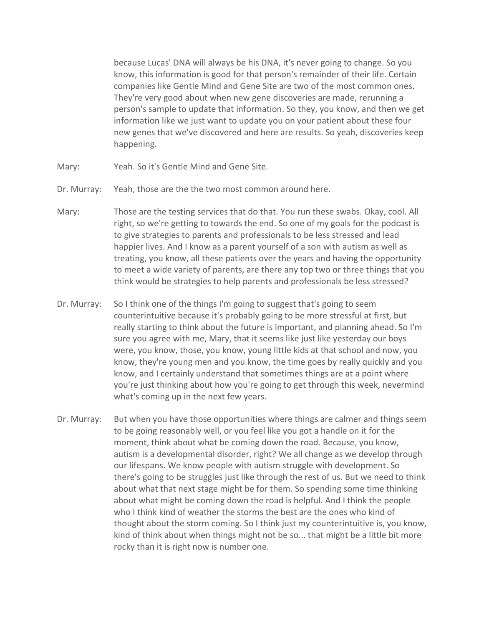because Lucas' DNA will always be his DNA, it's never going to change. So you know, this information is good for that person's remainder of their life. Certain companies like Gentle Mind and Gene Site are two of the most common ones. They're very good about when new gene discoveries are made, rerunning a person's sample to update that information. So they, you know, and then we get information like we just want to update you on your patient about these four new genes that we've discovered and here are results. So yeah, discoveries keep happening.

- Mary: Yeah. So it's Gentle Mind and Gene Site.
- Dr. Murray: Yeah, those are the the two most common around here.
- Mary: Those are the testing services that do that. You run these swabs. Okay, cool. All right, so we're getting to towards the end. So one of my goals for the podcast is to give strategies to parents and professionals to be less stressed and lead happier lives. And I know as a parent yourself of a son with autism as well as treating, you know, all these patients over the years and having the opportunity to meet a wide variety of parents, are there any top two or three things that you think would be strategies to help parents and professionals be less stressed?
- Dr. Murray: So I think one of the things I'm going to suggest that's going to seem counterintuitive because it's probably going to be more stressful at first, but really starting to think about the future is important, and planning ahead. So I'm sure you agree with me, Mary, that it seems like just like yesterday our boys were, you know, those, you know, young little kids at that school and now, you know, they're young men and you know, the time goes by really quickly and you know, and I certainly understand that sometimes things are at a point where you're just thinking about how you're going to get through this week, nevermind what's coming up in the next few years.
- Dr. Murray: But when you have those opportunities where things are calmer and things seem to be going reasonably well, or you feel like you got a handle on it for the moment, think about what be coming down the road. Because, you know, autism is a developmental disorder, right? We all change as we develop through our lifespans. We know people with autism struggle with development. So there's going to be struggles just like through the rest of us. But we need to think about what that next stage might be for them. So spending some time thinking about what might be coming down the road is helpful. And I think the people who I think kind of weather the storms the best are the ones who kind of thought about the storm coming. So I think just my counterintuitive is, you know, kind of think about when things might not be so... that might be a little bit more rocky than it is right now is number one.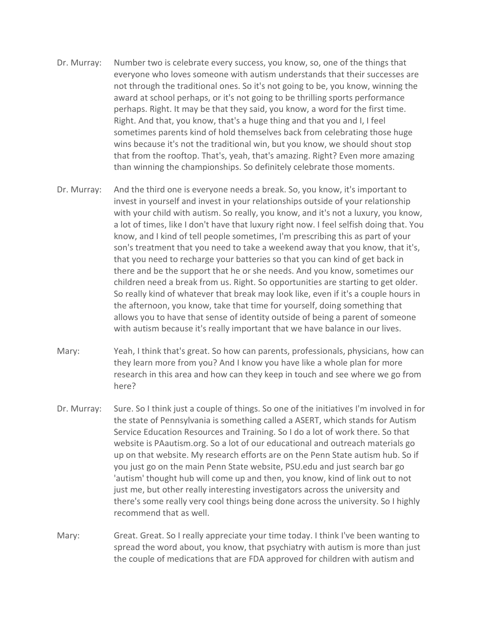- Dr. Murray: Number two is celebrate every success, you know, so, one of the things that everyone who loves someone with autism understands that their successes are not through the traditional ones. So it's not going to be, you know, winning the award at school perhaps, or it's not going to be thrilling sports performance perhaps. Right. It may be that they said, you know, a word for the first time. Right. And that, you know, that's a huge thing and that you and I, I feel sometimes parents kind of hold themselves back from celebrating those huge wins because it's not the traditional win, but you know, we should shout stop that from the rooftop. That's, yeah, that's amazing. Right? Even more amazing than winning the championships. So definitely celebrate those moments.
- Dr. Murray: And the third one is everyone needs a break. So, you know, it's important to invest in yourself and invest in your relationships outside of your relationship with your child with autism. So really, you know, and it's not a luxury, you know, a lot of times, like I don't have that luxury right now. I feel selfish doing that. You know, and I kind of tell people sometimes, I'm prescribing this as part of your son's treatment that you need to take a weekend away that you know, that it's, that you need to recharge your batteries so that you can kind of get back in there and be the support that he or she needs. And you know, sometimes our children need a break from us. Right. So opportunities are starting to get older. So really kind of whatever that break may look like, even if it's a couple hours in the afternoon, you know, take that time for yourself, doing something that allows you to have that sense of identity outside of being a parent of someone with autism because it's really important that we have balance in our lives.
- Mary: Yeah, I think that's great. So how can parents, professionals, physicians, how can they learn more from you? And I know you have like a whole plan for more research in this area and how can they keep in touch and see where we go from here?
- Dr. Murray: Sure. So I think just a couple of things. So one of the initiatives I'm involved in for the state of Pennsylvania is something called a ASERT, which stands for Autism Service Education Resources and Training. So I do a lot of work there. So that website is PAautism.org. So a lot of our educational and outreach materials go up on that website. My research efforts are on the Penn State autism hub. So if you just go on the main Penn State website, PSU.edu and just search bar go 'autism' thought hub will come up and then, you know, kind of link out to not just me, but other really interesting investigators across the university and there's some really very cool things being done across the university. So I highly recommend that as well.
- Mary: Great. Great. So I really appreciate your time today. I think I've been wanting to spread the word about, you know, that psychiatry with autism is more than just the couple of medications that are FDA approved for children with autism and